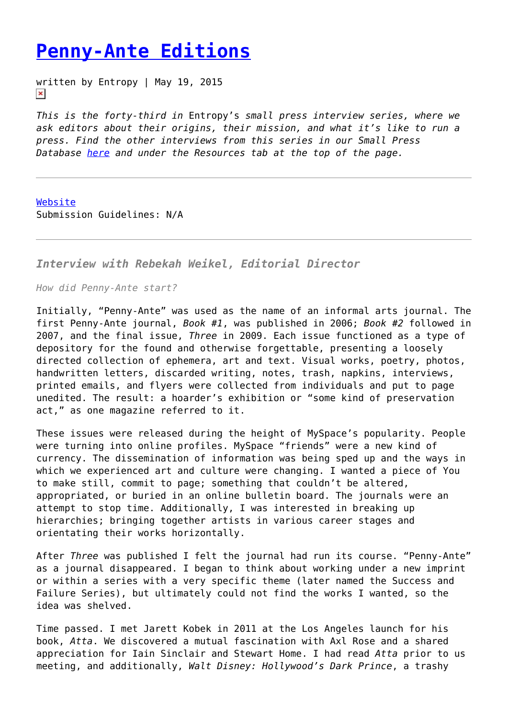## **[Penny-Ante Editions](https://entropymag.org/penny-ante-editions/)**

written by Entropy | May 19, 2015  $\pmb{\times}$ 

*This is the forty-third in* Entropy's *small press interview series, where we ask editors about their origins, their mission, and what it's like to run a press. Find the other interviews from this series in our Small Press Database [here](https://entropymag.org/small-press-database/) and under the Resources tab at the top of the page.*

[Website](http://penny-ante.net/) Submission Guidelines: N/A

*Interview with Rebekah Weikel, Editorial Director*

*How did Penny-Ante start?*

Initially, "Penny-Ante" was used as the name of an informal arts journal. The first Penny-Ante journal, *Book #1*, was published in 2006; *Book #2* followed in 2007, and the final issue, *Three* in 2009. Each issue functioned as a type of depository for the found and otherwise forgettable, presenting a loosely directed collection of ephemera, art and text. Visual works, poetry, photos, handwritten letters, discarded writing, notes, trash, napkins, interviews, printed emails, and flyers were collected from individuals and put to page unedited. The result: a hoarder's exhibition or "some kind of preservation act," as one magazine referred to it.

These issues were released during the height of MySpace's popularity. People were turning into online profiles. MySpace "friends" were a new kind of currency. The dissemination of information was being sped up and the ways in which we experienced art and culture were changing. I wanted a piece of You to make still, commit to page; something that couldn't be altered, appropriated, or buried in an online bulletin board. The journals were an attempt to stop time. Additionally, I was interested in breaking up hierarchies; bringing together artists in various career stages and orientating their works horizontally.

After *Three* was published I felt the journal had run its course. "Penny-Ante" as a journal disappeared. I began to think about working under a new imprint or within a series with a very specific theme (later named the Success and Failure Series), but ultimately could not find the works I wanted, so the idea was shelved.

Time passed. I met Jarett Kobek in 2011 at the Los Angeles launch for his book, *Atta*. We discovered a mutual fascination with Axl Rose and a shared appreciation for Iain Sinclair and Stewart Home. I had read *Atta* prior to us meeting, and additionally, *Walt Disney: Hollywood's Dark Prince*, a trashy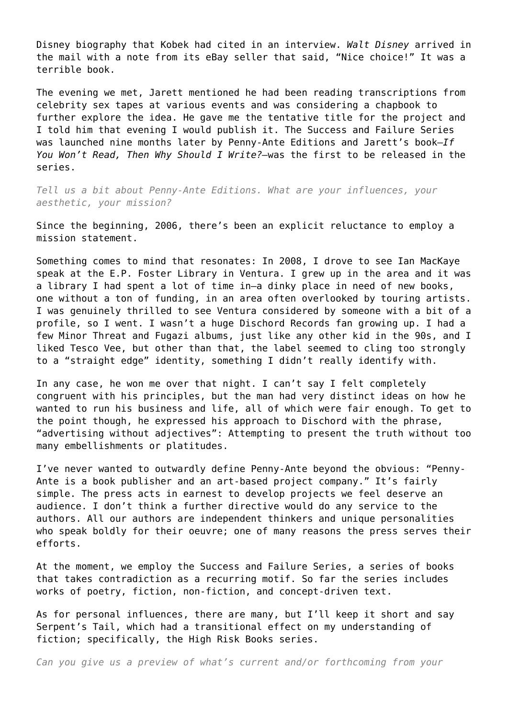Disney biography that Kobek had cited in an interview. *Walt Disney* arrived in the mail with a note from its eBay seller that said, "Nice choice!" It was a terrible book.

The evening we met, Jarett mentioned he had been reading transcriptions from celebrity sex tapes at various events and was considering a chapbook to further explore the idea. He gave me the tentative title for the project and I told him that evening I would publish it. The Success and Failure Series was launched nine months later by Penny-Ante Editions and Jarett's book—*If You Won't Read, Then Why Should I Write?—*was the first to be released in the series.

*Tell us a bit about Penny-Ante Editions. What are your influences, your aesthetic, your mission?*

Since the beginning, 2006, there's been an explicit reluctance to employ a mission statement.

Something comes to mind that resonates: In 2008, I drove to see Ian MacKaye speak at the E.P. Foster Library in Ventura. I grew up in the area and it was a library I had spent a lot of time in—a dinky place in need of new books, one without a ton of funding, in an area often overlooked by touring artists. I was genuinely thrilled to see Ventura considered by someone with a bit of a profile, so I went. I wasn't a huge Dischord Records fan growing up. I had a few Minor Threat and Fugazi albums, just like any other kid in the 90s, and I liked Tesco Vee, but other than that, the label seemed to cling too strongly to a "straight edge" identity, something I didn't really identify with.

In any case, he won me over that night. I can't say I felt completely congruent with his principles, but the man had very distinct ideas on how he wanted to run his business and life, all of which were fair enough. To get to the point though, he expressed his approach to Dischord with the phrase, "advertising without adjectives": Attempting to present the truth without too many embellishments or platitudes.

I've never wanted to outwardly define Penny-Ante beyond the obvious: "Penny-Ante is a book publisher and an art-based project company." It's fairly simple. The press acts in earnest to develop projects we feel deserve an audience. I don't think a further directive would do any service to the authors. All our authors are independent thinkers and unique personalities who speak boldly for their oeuvre; one of many reasons the press serves their efforts.

At the moment, we employ the Success and Failure Series, a series of books that takes contradiction as a recurring motif. So far the series includes works of poetry, fiction, non-fiction, and concept-driven text.

As for personal influences, there are many, but I'll keep it short and say Serpent's Tail, which had a transitional effect on my understanding of fiction; specifically, the High Risk Books series.

*Can you give us a preview of what's current and/or forthcoming from your*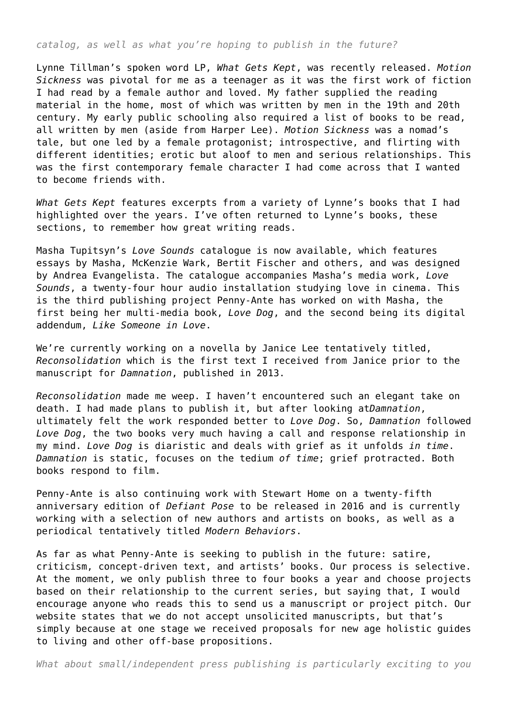*catalog, as well as what you're hoping to publish in the future?*

Lynne Tillman's spoken word LP, *What Gets Kept*, was recently released. *Motion Sickness* was pivotal for me as a teenager as it was the first work of fiction I had read by a female author and loved. My father supplied the reading material in the home, most of which was written by men in the 19th and 20th century. My early public schooling also required a list of books to be read, all written by men (aside from Harper Lee). *Motion Sickness* was a nomad's tale, but one led by a female protagonist; introspective, and flirting with different identities; erotic but aloof to men and serious relationships. This was the first contemporary female character I had come across that I wanted to become friends with.

*What Gets Kept* features excerpts from a variety of Lynne's books that I had highlighted over the years. I've often returned to Lynne's books, these sections, to remember how great writing reads.

Masha Tupitsyn's *Love Sounds* catalogue is now available, which features essays by Masha, McKenzie Wark, Bertit Fischer and others, and was designed by Andrea Evangelista. The catalogue accompanies Masha's media work, *Love Sounds*, a twenty-four hour audio installation studying love in cinema. This is the third publishing project Penny-Ante has worked on with Masha, the first being her multi-media book, *Love Dog*, and the second being its digital addendum, *Like Someone in Love*.

We're currently working on a novella by Janice Lee tentatively titled, *Reconsolidation* which is the first text I received from Janice prior to the manuscript for *Damnation*, published in 2013.

*Reconsolidation* made me weep. I haven't encountered such an elegant take on death. I had made plans to publish it, but after looking at*Damnation*, ultimately felt the work responded better to *Love Dog*. So, *Damnation* followed *Love Dog*, the two books very much having a call and response relationship in my mind. *Love Dog* is diaristic and deals with grief as it unfolds *in time*. *Damnation* is static, focuses on the tedium *of time*; grief protracted. Both books respond to film.

Penny-Ante is also continuing work with Stewart Home on a twenty-fifth anniversary edition of *Defiant Pose* to be released in 2016 and is currently working with a selection of new authors and artists on books, as well as a periodical tentatively titled *Modern Behaviors*.

As far as what Penny-Ante is seeking to publish in the future: satire, criticism, concept-driven text, and artists' books. Our process is selective. At the moment, we only publish three to four books a year and choose projects based on their relationship to the current series, but saying that, I would encourage anyone who reads this to send us a manuscript or project pitch. Our website states that we do not accept unsolicited manuscripts, but that's simply because at one stage we received proposals for new age holistic guides to living and other off-base propositions.

*What about small/independent press publishing is particularly exciting to you*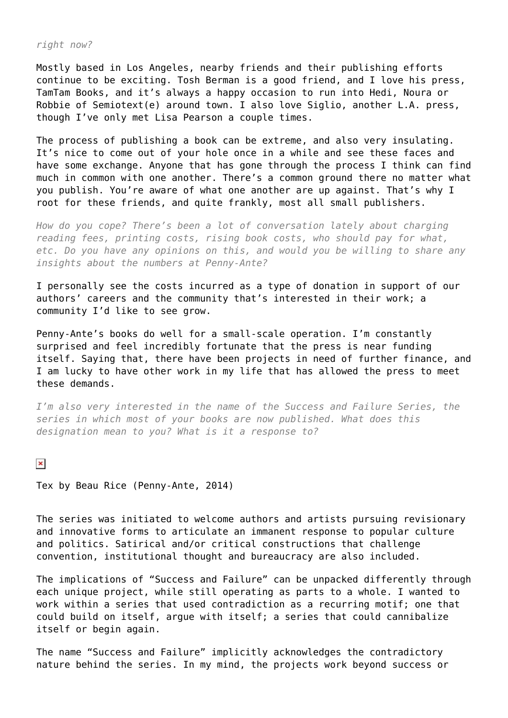## *right now?*

Mostly based in Los Angeles, nearby friends and their publishing efforts continue to be exciting. Tosh Berman is a good friend, and I love his press, TamTam Books, and it's always a happy occasion to run into Hedi, Noura or Robbie of Semiotext(e) around town. I also love Siglio, another L.A. press, though I've only met Lisa Pearson a couple times.

The process of publishing a book can be extreme, and also very insulating. It's nice to come out of your hole once in a while and see these faces and have some exchange. Anyone that has gone through the process I think can find much in common with one another. There's a common ground there no matter what you publish. You're aware of what one another are up against. That's why I root for these friends, and quite frankly, most all small publishers.

*How do you cope? There's been a lot of conversation lately about charging reading fees, printing costs, rising book costs, who should pay for what, etc. Do you have any opinions on this, and would you be willing to share any insights about the numbers at Penny-Ante?*

I personally see the costs incurred as a type of donation in support of our authors' careers and the community that's interested in their work; a community I'd like to see grow.

Penny-Ante's books do well for a small-scale operation. I'm constantly surprised and feel incredibly fortunate that the press is near funding itself. Saying that, there have been projects in need of further finance, and I am lucky to have other work in my life that has allowed the press to meet these demands.

*I'm also very interested in the name of the Success and Failure Series, the series in which most of your books are now published. What does this designation mean to you? What is it a response to?*

## $\pmb{\times}$

Tex by Beau Rice (Penny-Ante, 2014)

The series was initiated to welcome authors and artists pursuing revisionary and innovative forms to articulate an immanent response to popular culture and politics. Satirical and/or critical constructions that challenge convention, institutional thought and bureaucracy are also included.

The implications of "Success and Failure" can be unpacked differently through each unique project, while still operating as parts to a whole. I wanted to work within a series that used contradiction as a recurring motif; one that could build on itself, argue with itself; a series that could cannibalize itself or begin again.

The name "Success and Failure" implicitly acknowledges the contradictory nature behind the series. In my mind, the projects work beyond success or